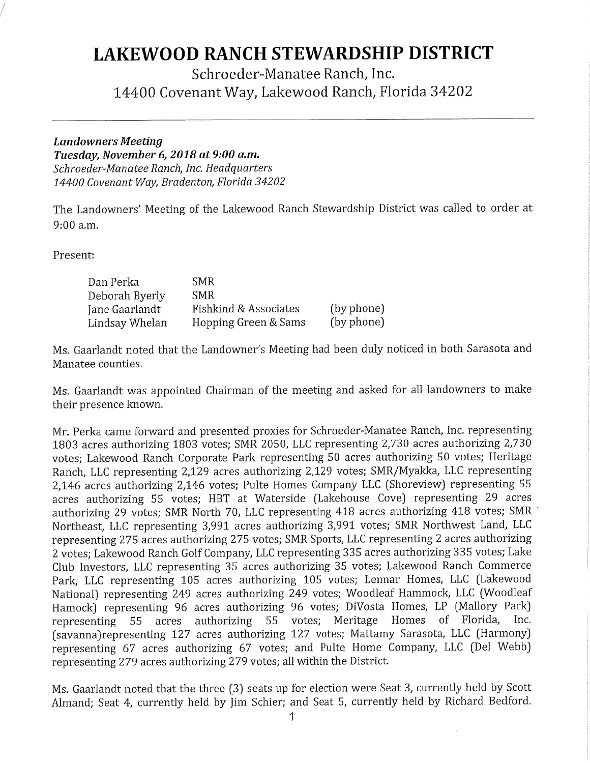## **LAKEWOOD RANCH STEWARDSHIP DISTRICT**

Schroeder-Manatee Ranch, Inc. 14400 Covenant Way, Lakewood Ranch, Florida 34202

## *Landowners Meeting*

*Tuesday, November* **6,** *2018 at 9:00 a.m. Schroeder-Manatee Ranch, Inc. Headquarters 14400 Covenant Way, Bradenton, Florida 34202* 

The Landowners' Meeting of the Lakewood Ranch Stewardship District was called to order at 9:00 a.m.

Present:

| Dan Perka      | SMR.                  |            |
|----------------|-----------------------|------------|
| Deborah Byerly | <b>SMR</b>            |            |
| Jane Gaarlandt | Fishkind & Associates | (by phone) |
| Lindsay Whelan | Hopping Green & Sams  | (by phone) |

Ms. Gaarlandt noted that the Landowner's Meeting had been duly noticed in both Sarasota and Manatee counties.

Ms. Gaarlandt was appointed Chairman of the meeting and asked for all landowners to make their presence known.

Mr. Perka came forward and presented proxies for Schroeder-Manatee Ranch, Inc. representing <sup>1803</sup>acres authorizing 1803 votes; SMR 2050, LLC representing 2,730 acres authorizing 2,730 votes; Lakewood Ranch Corporate Park representing 50 acres authorizing 50 votes; Heritage Ranch, LLC representing 2,129 acres authorizing 2,129 votes; SMR/Myakka, LLC representing 2,146 acres authorizing 2,146 votes; Pulte Homes Company LLC (Shoreview) representing <sup>55</sup> acres authorizing 55 votes; HBT at Waterside (Lakehouse Cove) representing 29 acres authorizing 29 votes; SMR North 70, LLC representing 418 acres authorizing 418 votes; SMR Northeast, LLC representing 3,991 acres authorizing 3,991 votes; SMR Northwest Land, LLC representing 275 acres authorizing 275 votes; SMR Sports, LLC representing 2 acres authorizing 2 votes; Lakewood Ranch Golf Company, LLC representing 335 acres authorizing 335 votes; Lake Club Investors, LLC representing 35 acres authorizing 35 votes; Lakewood Ranch Commerce Park, LLC representing 105 acres authorizing 105 votes; Lennar Homes, LLC (Lakewood National) representing 249 acres authorizing 249 votes; Woodleaf Hammock, LLC (Woodleaf Hamock) representing 96 acres authorizing 96 votes; DiVosta Homes, LP (Mallory Park)<br>representing 55 acres authorizing 55 votes: Meritage Homes of Florida, Inc. representing 55 acres authorizing 55 votes; Meritage Homes (savanna)representing 127 acres authorizing 127 votes; Mattamy Sarasota, LLC (Harmony) representing 67 acres authorizing 67 votes; and Pulte Home Company, LLC (Del Webb) representing 279 acres authorizing 279 votes; all within the District.

Ms. Gaarlandt noted that the three (3) seats up for election were Seat 3, currently held by Scott Almand; Seat 4, currently held by Jim Schier; and Seat 5, currently held by Richard Bedford.